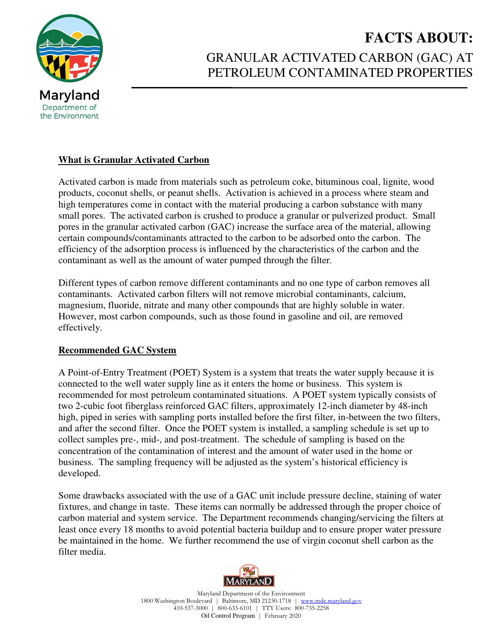

# **FACTS ABOUT:** GRANULAR ACTIVATED CARBON (GAC) AT PETROLEUM CONTAMINATED PROPERTIES

## **What is Granular Activated Carbon**

Activated carbon is made from materials such as petroleum coke, bituminous coal, lignite, wood products, coconut shells, or peanut shells. Activation is achieved in a process where steam and high temperatures come in contact with the material producing a carbon substance with many small pores. The activated carbon is crushed to produce a granular or pulverized product. Small pores in the granular activated carbon (GAC) increase the surface area of the material, allowing certain compounds/contaminants attracted to the carbon to be adsorbed onto the carbon. The efficiency of the adsorption process is influenced by the characteristics of the carbon and the contaminant as well as the amount of water pumped through the filter.

Different types of carbon remove different contaminants and no one type of carbon removes all contaminants. Activated carbon filters will not remove microbial contaminants, calcium, magnesium, fluoride, nitrate and many other compounds that are highly soluble in water. However, most carbon compounds, such as those found in gasoline and oil, are removed effectively.

#### **Recommended GAC System**

A Point-of-Entry Treatment (POET) System is a system that treats the water supply because it is connected to the well water supply line as it enters the home or business. This system is recommended for most petroleum contaminated situations. A POET system typically consists of two 2-cubic foot fiberglass reinforced GAC filters, approximately 12-inch diameter by 48-inch high, piped in series with sampling ports installed before the first filter, in-between the two filters, and after the second filter. Once the POET system is installed, a sampling schedule is set up to collect samples pre-, mid-, and post-treatment. The schedule of sampling is based on the concentration of the contamination of interest and the amount of water used in the home or business. The sampling frequency will be adjusted as the system's historical efficiency is developed.

Some drawbacks associated with the use of a GAC unit include pressure decline, staining of water fixtures, and change in taste. These items can normally be addressed through the proper choice of carbon material and system service. The Department recommends changing/servicing the filters at least once every 18 months to avoid potential bacteria buildup and to ensure proper water pressure be maintained in the home. We further recommend the use of virgin coconut shell carbon as the filter media.



Maryland Department of the Environment 1800 Washington Boulevard | Baltimore, MD 21230-1718 | www.mde.maryland.gov 410-537-3000 | 800-633-6101 | TTY Users: 800-735-2258 Oil Control Program | February 2020